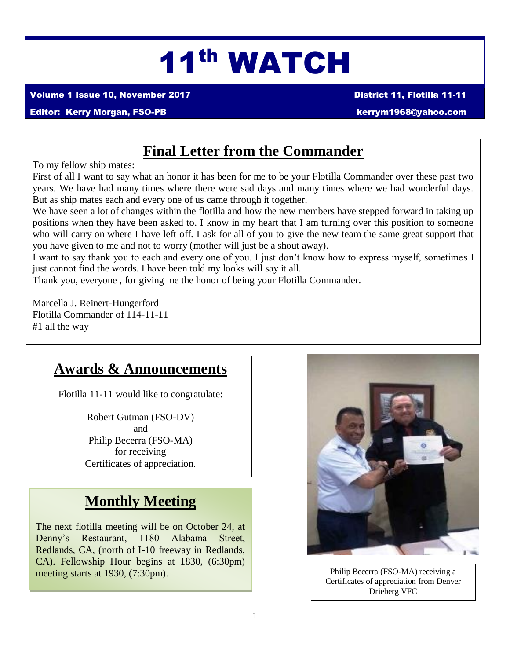# 11th WATCH

Volume 1 Issue 10, November 2017 District 11, Flotilla 11-11

#### Editor: Kerry Morgan, FSO-PB [kerrym1968@yahoo.com](mailto:kerrym1968@yahoo.com)

### **Final Letter from the Commander**

To my fellow ship mates:

First of all I want to say what an honor it has been for me to be your Flotilla Commander over these past two years. We have had many times where there were sad days and many times where we had wonderful days. But as ship mates each and every one of us came through it together.

We have seen a lot of changes within the flotilla and how the new members have stepped forward in taking up positions when they have been asked to. I know in my heart that I am turning over this position to someone who will carry on where I have left off. I ask for all of you to give the new team the same great support that you have given to me and not to worry (mother will just be a shout away).

I want to say thank you to each and every one of you. I just don't know how to express myself, sometimes I just cannot find the words. I have been told my looks will say it all.

Thank you, everyone , for giving me the honor of being your Flotilla Commander.

Marcella J. Reinert-Hungerford Flotilla Commander of 114-11-11 #1 all the way

### **Awards & Announcements**

Flotilla 11-11 would like to congratulate:

Robert Gutman (FSO-DV) and Philip Becerra (FSO-MA) for receiving Certificates of appreciation.

# **Monthly Meeting**

The next flotilla meeting will be on October 24, at Denny's Restaurant, 1180 Alabama Street, Redlands, CA, (north of I-10 freeway in Redlands, CA). Fellowship Hour begins at 1830, (6:30pm) meeting starts at 1930, (7:30pm).



Philip Becerra (FSO-MA) receiving a Certificates of appreciation from Denver Drieberg VFC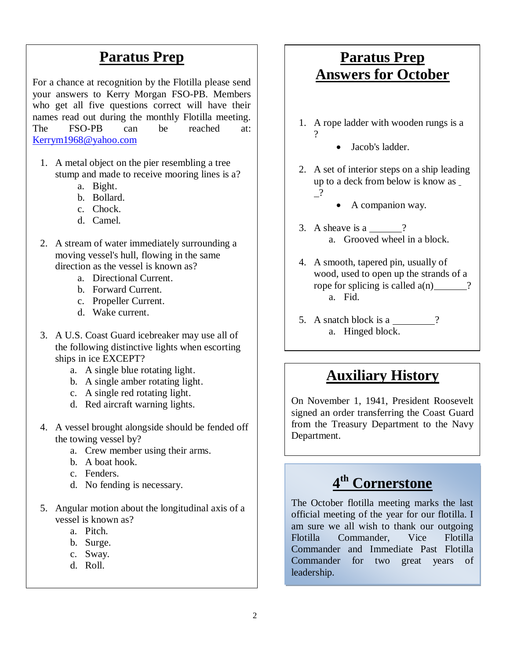### **Paratus Prep**

For a chance at recognition by the Flotilla please send your answers to Kerry Morgan FSO-PB. Members who get all five questions correct will have their names read out during the monthly Flotilla meeting. The FSO-PB can be reached at: [Kerrym1968@yahoo.com](mailto:Kerrym1968@yahoo.com)

- 1. A metal object on the pier resembling a tree stump and made to receive mooring lines is a?
	- a. Bight.
	- b. Bollard.
	- c. Chock.
	- d. Camel.
- 2. A stream of water immediately surrounding a moving vessel's hull, flowing in the same direction as the vessel is known as?
	- a. Directional Current.
	- b. Forward Current.
	- c. Propeller Current.
	- d. Wake current.
- 3. A U.S. Coast Guard icebreaker may use all of the following distinctive lights when escorting ships in ice EXCEPT?
	- a. A single blue rotating light.
	- b. A single amber rotating light.
	- c. A single red rotating light.
	- d. Red aircraft warning lights.
- 4. A vessel brought alongside should be fended off the towing vessel by?
	- a. Crew member using their arms.
	- b. A boat hook.
	- c. Fenders.
	- d. No fending is necessary.
- 5. Angular motion about the longitudinal axis of a vessel is known as?
	- a. Pitch.
	- b. Surge.
	- c. Sway.
	- d. Roll.

# **Paratus Prep Answers for October**

- 1. A rope ladder with wooden rungs is a
	- Jacob's ladder.

?

- 2. A set of interior steps on a ship leading up to a deck from below is know as ?
	- A companion way.
- 3. A sheave is a  $\frac{?}{?}$ a. Grooved wheel in a block.
- 4. A smooth, tapered pin, usually of wood, used to open up the strands of a rope for splicing is called  $a(n)$  ? a. Fid.
- 5. A snatch block is a 2 a. Hinged block.

# **Auxiliary History**

On November 1, 1941, President Roosevelt signed an order transferring the Coast Guard from the Treasury Department to the Navy Department.

#### **4 th Cornerstone** allows women to enroll as temporary women to enroll as temporary  $4^{\text{th}}$  Cornerstone who numbered approximately 100, as of the state of the state of the state of the state of the state of the state of the state of the state of the state of the state of the state of the state of the state of the state of th

November 1942 Congressional legislation

The October flotilla meeting marks the last official meeting of the year for our flotilla. I am sure we all wish to thank our outgoing Flotilla Commander, Vice Flotilla Commander and Immediate Past Flotilla Commander for two great years of leadership.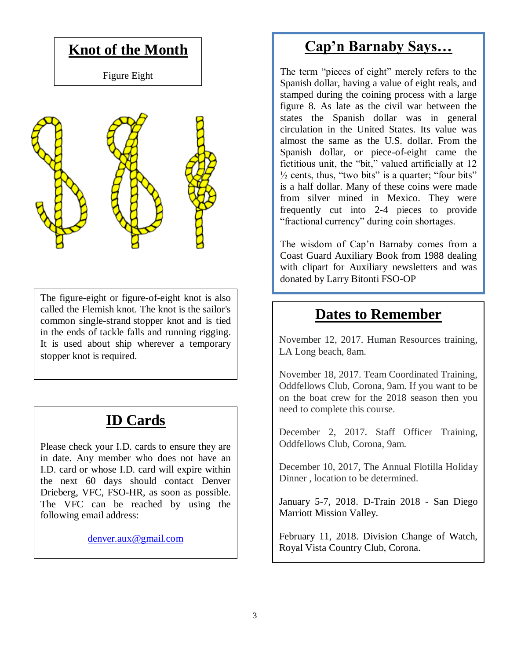

The figure-eight or figure-of-eight knot is also called the Flemish knot. The knot is the sailor's common single-strand [stopper knot](https://en.wikipedia.org/wiki/Stopper_knot) and is tied in the ends of tackle falls and running rigging. It is used about ship wherever a temporary stopper knot is required.

# **ID Cards**

Please check your I.D. cards to ensure they are in date. Any member who does not have an I.D. card or whose I.D. card will expire within the next 60 days should contact Denver Drieberg, VFC, FSO-HR, as soon as possible. The VFC can be reached by using the following email address:

[denver.aux@gmail.com](mailto:denver.aux@gmail.com)

# **Cap'n Barnaby Says…**

The term "pieces of eight" merely refers to the Spanish dollar, having a value of eight reals, and stamped during the coining process with a large figure 8. As late as the civil war between the states the Spanish dollar was in general circulation in the United States. Its value was almost the same as the U.S. dollar. From the Spanish dollar, or piece-of-eight came the fictitious unit, the "bit," valued artificially at 12  $\frac{1}{2}$  cents, thus, "two bits" is a quarter; "four bits" is a half dollar. Many of these coins were made from silver mined in Mexico. They were frequently cut into 2-4 pieces to provide "fractional currency" during coin shortages.

The wisdom of Cap'n Barnaby comes from a Coast Guard Auxiliary Book from 1988 dealing with clipart for Auxiliary newsletters and was donated by Larry Bitonti FSO-OP

# **Dates to Remember**

November 12, 2017. Human Resources training, LA Long beach, 8am.

November 18, 2017. Team Coordinated Training, Oddfellows Club, Corona, 9am. If you want to be on the boat crew for the 2018 season then you need to complete this course.

December 2, 2017. Staff Officer Training, Oddfellows Club, Corona, 9am.

December 10, 2017, The Annual Flotilla Holiday Dinner , location to be determined.

January 5-7, 2018. D-Train 2018 - San Diego Marriott Mission Valley.

February 11, 2018. Division Change of Watch, Royal Vista Country Club, Corona.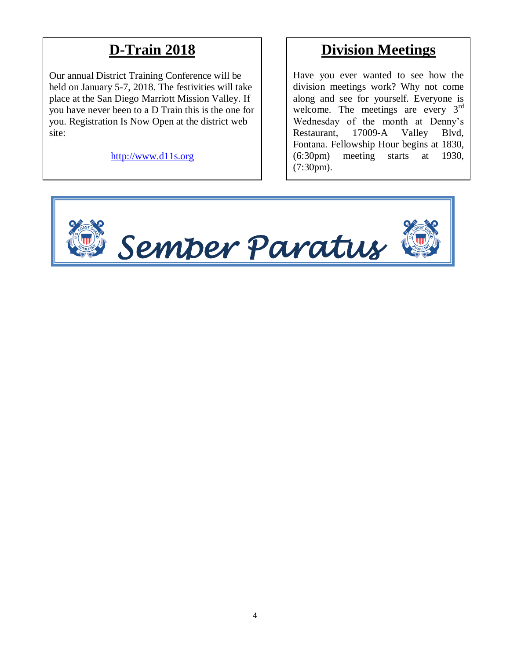# **D-Train 2018**

Our annual District Training Conference will be held on January 5-7, 2018. The festivities will take place at the San Diego Marriott Mission Valley. If you have never been to a D Train this is the one for you. Registration Is Now Open at the district web site:

[http://www.d11s.org](http://www.d11s.org/)

### **Division Meetings**

Have you ever wanted to see how the division meetings work? Why not come along and see for yourself. Everyone is welcome. The meetings are every 3<sup>rd</sup> Wednesday of the month at Denny's Restaurant, 17009-A Valley Blvd, Fontana. Fellowship Hour begins at 1830, (6:30pm) meeting starts at 1930, (7:30pm).